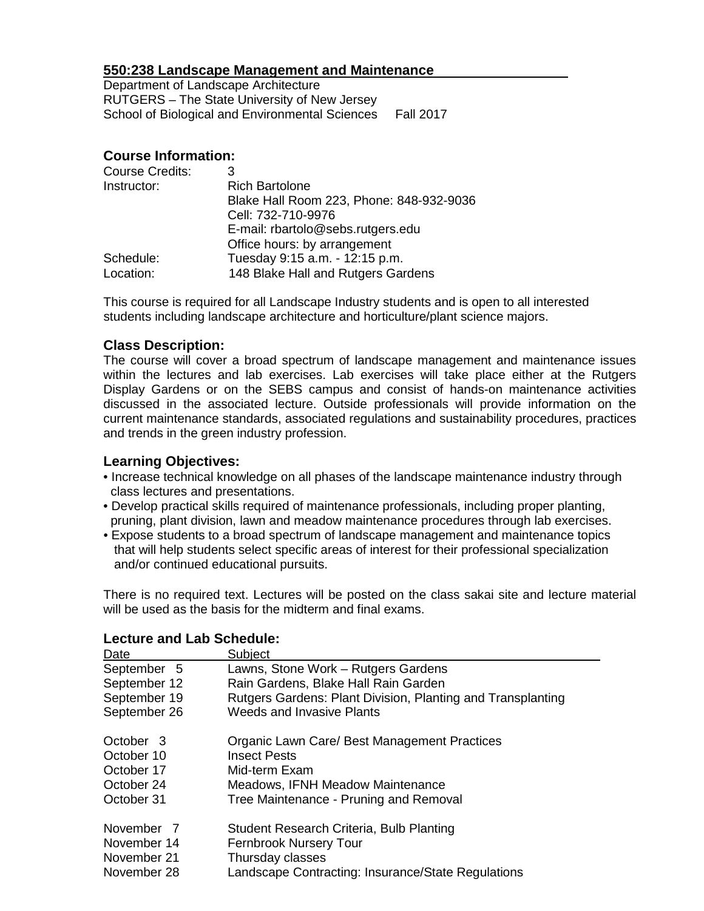### **550:238 Landscape Management and Maintenance**

Department of Landscape Architecture RUTGERS – The State University of New Jersey School of Biological and Environmental Sciences Fall 2017

### **Course Information:**

| 3                                        |
|------------------------------------------|
| <b>Rich Bartolone</b>                    |
| Blake Hall Room 223, Phone: 848-932-9036 |
| Cell: 732-710-9976                       |
| E-mail: rbartolo@sebs.rutgers.edu        |
| Office hours: by arrangement             |
| Tuesday 9:15 a.m. - 12:15 p.m.           |
| 148 Blake Hall and Rutgers Gardens       |
|                                          |

This course is required for all Landscape Industry students and is open to all interested students including landscape architecture and horticulture/plant science majors.

#### **Class Description:**

The course will cover a broad spectrum of landscape management and maintenance issues within the lectures and lab exercises. Lab exercises will take place either at the Rutgers Display Gardens or on the SEBS campus and consist of hands-on maintenance activities discussed in the associated lecture. Outside professionals will provide information on the current maintenance standards, associated regulations and sustainability procedures, practices and trends in the green industry profession.

### **Learning Objectives:**

- Increase technical knowledge on all phases of the landscape maintenance industry through class lectures and presentations.
- Develop practical skills required of maintenance professionals, including proper planting, pruning, plant division, lawn and meadow maintenance procedures through lab exercises.
- Expose students to a broad spectrum of landscape management and maintenance topics that will help students select specific areas of interest for their professional specialization and/or continued educational pursuits.

There is no required text. Lectures will be posted on the class sakai site and lecture material will be used as the basis for the midterm and final exams.

| Date                  | Subject                                                     |
|-----------------------|-------------------------------------------------------------|
| September 5           | Lawns, Stone Work - Rutgers Gardens                         |
| September 12          | Rain Gardens, Blake Hall Rain Garden                        |
| September 19          | Rutgers Gardens: Plant Division, Planting and Transplanting |
| September 26          | <b>Weeds and Invasive Plants</b>                            |
| October 3             | Organic Lawn Care/ Best Management Practices                |
| October 10            | <b>Insect Pests</b>                                         |
| October 17            | Mid-term Exam                                               |
| October 24            | Meadows, IFNH Meadow Maintenance                            |
| October 31            | Tree Maintenance - Pruning and Removal                      |
| November <sub>7</sub> | Student Research Criteria, Bulb Planting                    |
| November 14           | <b>Fernbrook Nursery Tour</b>                               |
| November 21           | Thursday classes                                            |
| November 28           | Landscape Contracting: Insurance/State Regulations          |

# **Lecture and Lab Schedule:**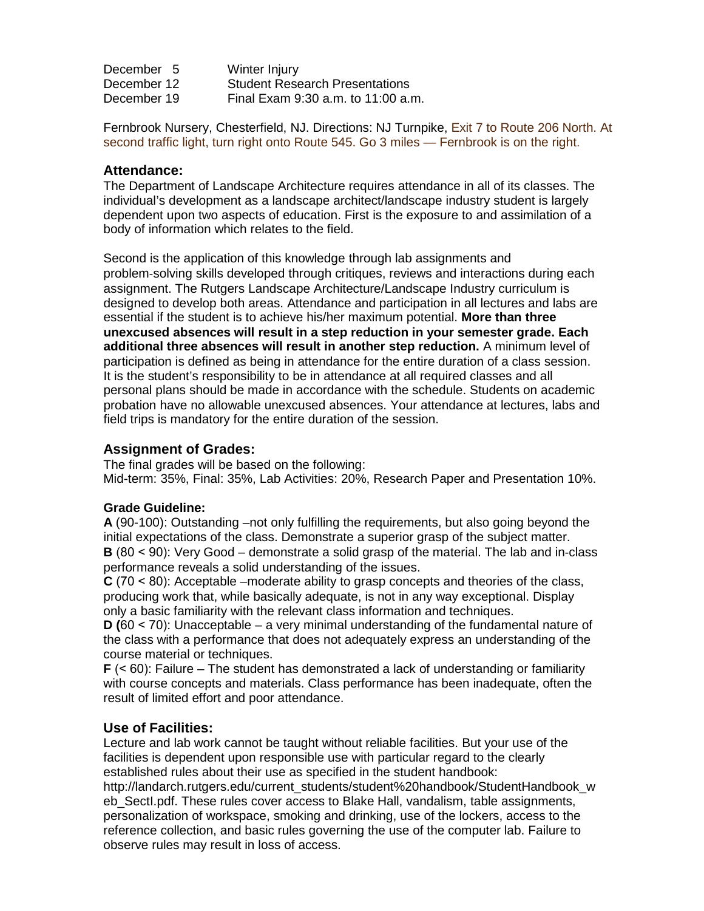December 5 Winter Injury<br>December 12 Student Rese **Student Research Presentations** December 19 Final Exam 9:30 a.m. to 11:00 a.m.

Fernbrook Nursery, Chesterfield, NJ. Directions: NJ Turnpike, Exit 7 to Route 206 North. At second traffic light, turn right onto Route 545. Go 3 miles — Fernbrook is on the right.

#### **Attendance:**

The Department of Landscape Architecture requires attendance in all of its classes. The individual's development as a landscape architect/landscape industry student is largely dependent upon two aspects of education. First is the exposure to and assimilation of a body of information which relates to the field.

Second is the application of this knowledge through lab assignments and problem‐solving skills developed through critiques, reviews and interactions during each assignment. The Rutgers Landscape Architecture/Landscape Industry curriculum is designed to develop both areas. Attendance and participation in all lectures and labs are essential if the student is to achieve his/her maximum potential. **More than three unexcused absences will result in a step reduction in your semester grade. Each additional three absences will result in another step reduction.** A minimum level of participation is defined as being in attendance for the entire duration of a class session. It is the student's responsibility to be in attendance at all required classes and all personal plans should be made in accordance with the schedule. Students on academic probation have no allowable unexcused absences. Your attendance at lectures, labs and field trips is mandatory for the entire duration of the session.

# **Assignment of Grades:**

The final grades will be based on the following: Mid-term: 35%, Final: 35%, Lab Activities: 20%, Research Paper and Presentation 10%.

#### **Grade Guideline:**

**A** (90-100): Outstanding –not only fulfilling the requirements, but also going beyond the initial expectations of the class. Demonstrate a superior grasp of the subject matter. **B** (80 ˂ 90): Very Good – demonstrate a solid grasp of the material. The lab and in‐class performance reveals a solid understanding of the issues.

**C** (70 ˂ 80): Acceptable –moderate ability to grasp concepts and theories of the class, producing work that, while basically adequate, is not in any way exceptional. Display only a basic familiarity with the relevant class information and techniques.

**D (**60 ˂ 70): Unacceptable – a very minimal understanding of the fundamental nature of the class with a performance that does not adequately express an understanding of the course material or techniques.

**F** (< 60): Failure – The student has demonstrated a lack of understanding or familiarity with course concepts and materials. Class performance has been inadequate, often the result of limited effort and poor attendance.

# **Use of Facilities:**

Lecture and lab work cannot be taught without reliable facilities. But your use of the facilities is dependent upon responsible use with particular regard to the clearly established rules about their use as specified in the student handbook:

http://landarch.rutgers.edu/current\_students/student%20handbook/StudentHandbook\_w eb\_SectI.pdf. These rules cover access to Blake Hall, vandalism, table assignments, personalization of workspace, smoking and drinking, use of the lockers, access to the reference collection, and basic rules governing the use of the computer lab. Failure to observe rules may result in loss of access.